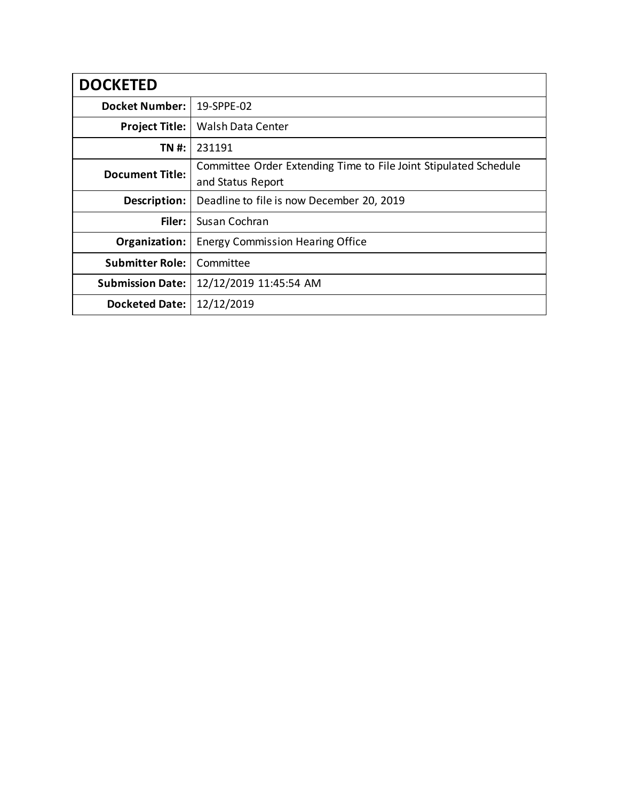| <b>DOCKETED</b>         |                                                                                       |
|-------------------------|---------------------------------------------------------------------------------------|
| <b>Docket Number:</b>   | 19-SPPE-02                                                                            |
| <b>Project Title:</b>   | <b>Walsh Data Center</b>                                                              |
| TN #:                   | 231191                                                                                |
| <b>Document Title:</b>  | Committee Order Extending Time to File Joint Stipulated Schedule<br>and Status Report |
| Description:            | Deadline to file is now December 20, 2019                                             |
| Filer:                  | Susan Cochran                                                                         |
| Organization:           | <b>Energy Commission Hearing Office</b>                                               |
| <b>Submitter Role:</b>  | Committee                                                                             |
| <b>Submission Date:</b> | 12/12/2019 11:45:54 AM                                                                |
| <b>Docketed Date:</b>   | 12/12/2019                                                                            |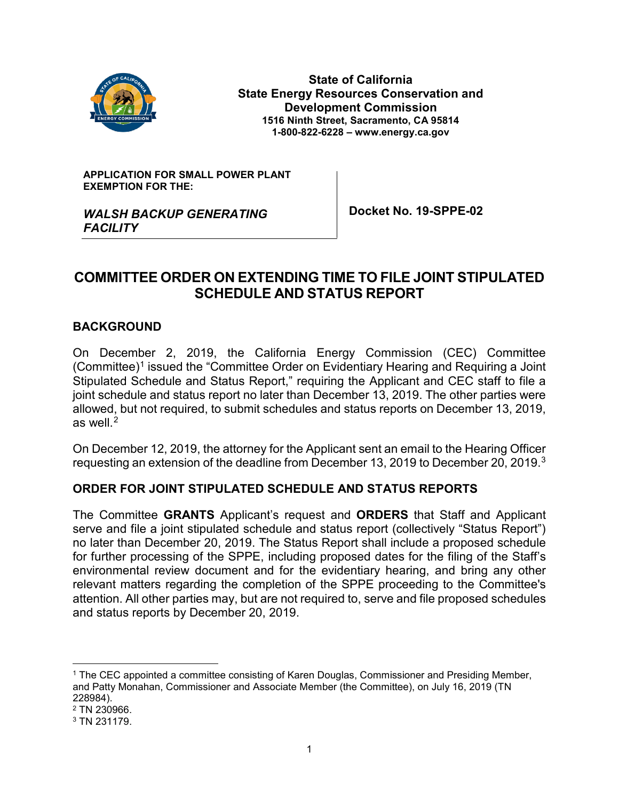

**State of California State Energy Resources Conservation and Development Commission 1516 Ninth Street, Sacramento, CA 95814 1-800-822-6228 – www.energy.ca.gov**

**APPLICATION FOR SMALL POWER PLANT EXEMPTION FOR THE:**

**Docket No. 19-SPPE-02**

## *WALSH BACKUP GENERATING FACILITY*

# **COMMITTEE ORDER ON EXTENDING TIME TO FILE JOINT STIPULATED SCHEDULE AND STATUS REPORT**

### **BACKGROUND**

On December 2, 2019, the California Energy Commission (CEC) Committee (Committee)<sup>1</sup> issued the "Committee Order on Evidentiary Hearing and Requiring a Joint Stipulated Schedule and Status Report," requiring the Applicant and CEC staff to file a joint schedule and status report no later than December 13, 2019. The other parties were allowed, but not required, to submit schedules and status reports on December 13, 2019, as well. $<sup>2</sup>$  $<sup>2</sup>$  $<sup>2</sup>$ </sup>

On December 12, 2019, the attorney for the Applicant sent an email to the Hearing Officer requesting an extension of the deadline from December 13, 2019 to December 20, 2019.[3](#page-1-2)

### **ORDER FOR JOINT STIPULATED SCHEDULE AND STATUS REPORTS**

The Committee **GRANTS** Applicant's request and **ORDERS** that Staff and Applicant serve and file a joint stipulated schedule and status report (collectively "Status Report") no later than December 20, 2019. The Status Report shall include a proposed schedule for further processing of the SPPE, including proposed dates for the filing of the Staff's environmental review document and for the evidentiary hearing, and bring any other relevant matters regarding the completion of the SPPE proceeding to the Committee's attention. All other parties may, but are not required to, serve and file proposed schedules and status reports by December 20, 2019.

<span id="page-1-0"></span> <sup>1</sup> The CEC appointed a committee consisting of Karen Douglas, Commissioner and Presiding Member, and Patty Monahan, Commissioner and Associate Member (the Committee), on July 16, 2019 (TN 228984).

<span id="page-1-1"></span><sup>2</sup> TN 230966.

<span id="page-1-2"></span><sup>3</sup> TN 231179.